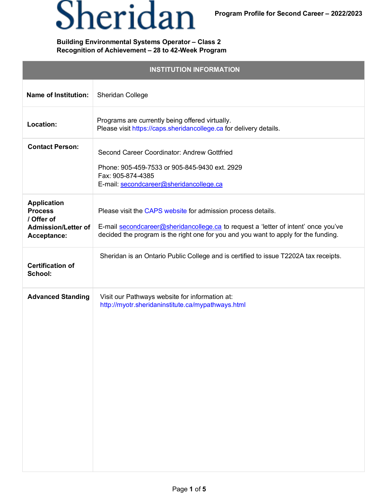## Sheridan

## **Building Environmental Systems Operator – Class 2 Recognition of Achievement – 28 to 42-Week Program**

| <b>INSTITUTION INFORMATION</b>                                                                  |                                                                                                                                                                                                                                           |  |
|-------------------------------------------------------------------------------------------------|-------------------------------------------------------------------------------------------------------------------------------------------------------------------------------------------------------------------------------------------|--|
| <b>Name of Institution:</b>                                                                     | Sheridan College                                                                                                                                                                                                                          |  |
| Location:                                                                                       | Programs are currently being offered virtually.<br>Please visit https://caps.sheridancollege.ca for delivery details.                                                                                                                     |  |
| <b>Contact Person:</b>                                                                          | Second Career Coordinator: Andrew Gottfried<br>Phone: 905-459-7533 or 905-845-9430 ext. 2929<br>Fax: 905-874-4385<br>E-mail: secondcareer@sheridancollege.ca                                                                              |  |
| <b>Application</b><br><b>Process</b><br>/ Offer of<br><b>Admission/Letter of</b><br>Acceptance: | Please visit the CAPS website for admission process details.<br>E-mail secondcareer@sheridancollege.ca to request a 'letter of intent' once you've<br>decided the program is the right one for you and you want to apply for the funding. |  |
| <b>Certification of</b><br>School:                                                              | Sheridan is an Ontario Public College and is certified to issue T2202A tax receipts.                                                                                                                                                      |  |
| <b>Advanced Standing</b>                                                                        | Visit our Pathways website for information at:<br>http://myotr.sheridaninstitute.ca/mypathways.html                                                                                                                                       |  |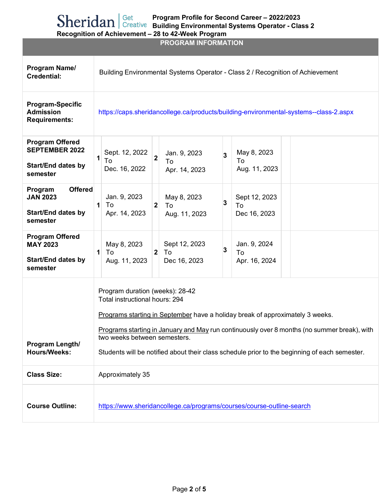**PROGRAM INFORMATION**

| Program Name/<br><b>Credential:</b>                                                      | Building Environmental Systems Operator - Class 2 / Recognition of Achievement                                                                                                                                                                                                                                                                                                     |  |
|------------------------------------------------------------------------------------------|------------------------------------------------------------------------------------------------------------------------------------------------------------------------------------------------------------------------------------------------------------------------------------------------------------------------------------------------------------------------------------|--|
| <b>Program-Specific</b><br><b>Admission</b><br><b>Requirements:</b>                      | https://caps.sheridancollege.ca/products/building-environmental-systems--class-2.aspx                                                                                                                                                                                                                                                                                              |  |
| <b>Program Offered</b><br><b>SEPTEMBER 2022</b><br><b>Start/End dates by</b><br>semester | May 8, 2023<br>Sept. 12, 2022<br>Jan. 9, 2023<br>$\overline{\mathbf{2}}$<br>3<br>1<br>To<br>To<br>To<br>Dec. 16, 2022<br>Aug. 11, 2023<br>Apr. 14, 2023                                                                                                                                                                                                                            |  |
| <b>Offered</b><br>Program<br><b>JAN 2023</b><br><b>Start/End dates by</b><br>semester    | Jan. 9, 2023<br>May 8, 2023<br>Sept 12, 2023<br>3<br>$\overline{2}$<br>$\mathbf{1}$<br>To<br>To<br>To<br>Apr. 14, 2023<br>Aug. 11, 2023<br>Dec 16, 2023                                                                                                                                                                                                                            |  |
| <b>Program Offered</b><br><b>MAY 2023</b><br><b>Start/End dates by</b><br>semester       | May 8, 2023<br>Sept 12, 2023<br>Jan. 9, 2024<br>3<br>2 <sup>1</sup><br>$\mathbf{1}$<br>To<br>To<br>To<br>Aug. 11, 2023<br>Dec 16, 2023<br>Apr. 16, 2024                                                                                                                                                                                                                            |  |
| Program Length/<br><b>Hours/Weeks:</b>                                                   | Program duration (weeks): 28-42<br>Total instructional hours: 294<br>Programs starting in September have a holiday break of approximately 3 weeks.<br>Programs starting in January and May run continuously over 8 months (no summer break), with<br>two weeks between semesters.<br>Students will be notified about their class schedule prior to the beginning of each semester. |  |
| <b>Class Size:</b>                                                                       | Approximately 35                                                                                                                                                                                                                                                                                                                                                                   |  |
| <b>Course Outline:</b>                                                                   | https://www.sheridancollege.ca/programs/courses/course-outline-search                                                                                                                                                                                                                                                                                                              |  |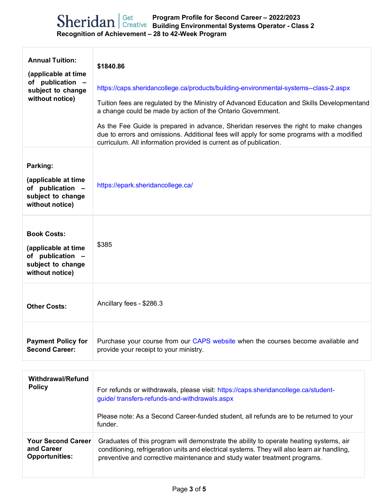| <b>Annual Tuition:</b><br>(applicable at time<br>of publication -<br>subject to change<br>without notice) | \$1840.86<br>https://caps.sheridancollege.ca/products/building-environmental-systems--class-2.aspx<br>Tuition fees are regulated by the Ministry of Advanced Education and Skills Developmentand<br>a change could be made by action of the Ontario Government.<br>As the Fee Guide is prepared in advance, Sheridan reserves the right to make changes<br>due to errors and omissions. Additional fees will apply for some programs with a modified<br>curriculum. All information provided is current as of publication. |
|-----------------------------------------------------------------------------------------------------------|----------------------------------------------------------------------------------------------------------------------------------------------------------------------------------------------------------------------------------------------------------------------------------------------------------------------------------------------------------------------------------------------------------------------------------------------------------------------------------------------------------------------------|
| Parking:<br>(applicable at time<br>of publication -<br>subject to change<br>without notice)               | https://epark.sheridancollege.ca/                                                                                                                                                                                                                                                                                                                                                                                                                                                                                          |
| <b>Book Costs:</b><br>(applicable at time<br>of publication -<br>subject to change<br>without notice)     | \$385                                                                                                                                                                                                                                                                                                                                                                                                                                                                                                                      |
| <b>Other Costs:</b>                                                                                       | Ancillary fees - \$286.3                                                                                                                                                                                                                                                                                                                                                                                                                                                                                                   |
| <b>Payment Policy for</b><br><b>Second Career:</b>                                                        | Purchase your course from our CAPS website when the courses become available and<br>provide your receipt to your ministry.                                                                                                                                                                                                                                                                                                                                                                                                 |
| <b>Withdrawal/Refund</b><br><b>Policy</b>                                                                 | For refunds or withdrawals, please visit: https://caps.sheridancollege.ca/student-<br>guide/transfers-refunds-and-withdrawals.aspx<br>Please note: As a Second Career-funded student, all refunds are to be returned to your<br>funder.                                                                                                                                                                                                                                                                                    |
| <b>Your Second Career</b><br>and Career<br><b>Opportunities:</b>                                          | Graduates of this program will demonstrate the ability to operate heating systems, air<br>conditioning, refrigeration units and electrical systems. They will also learn air handling,<br>preventive and corrective maintenance and study water treatment programs.                                                                                                                                                                                                                                                        |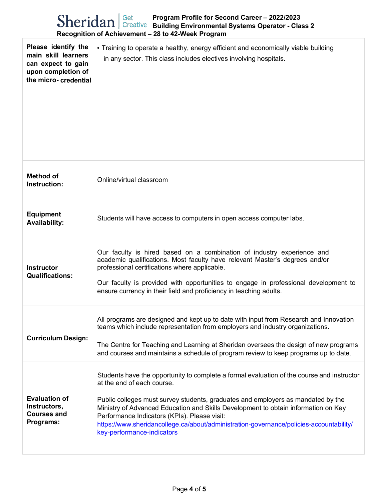|  | $\text{Sheridan}$ Get Program Profile for Second Career - 2022/2023<br>Sheridan Creative Building Environmental Systems Operator - Class 2<br>Recognition of Achievement - 28 to 42-Week Program |
|--|--------------------------------------------------------------------------------------------------------------------------------------------------------------------------------------------------|
|  | <b>identify the</b> $\cdot$ Training to operate a healthy, energy efficient and economically viable build                                                                                        |

| Please identify the<br>main skill learners<br>can expect to gain<br>upon completion of<br>the micro-credential | • Training to operate a healthy, energy efficient and economically viable building<br>in any sector. This class includes electives involving hospitals.                                                                                                                                                                                                                                                                                                                     |  |
|----------------------------------------------------------------------------------------------------------------|-----------------------------------------------------------------------------------------------------------------------------------------------------------------------------------------------------------------------------------------------------------------------------------------------------------------------------------------------------------------------------------------------------------------------------------------------------------------------------|--|
| <b>Method of</b><br>Instruction:                                                                               | Online/virtual classroom                                                                                                                                                                                                                                                                                                                                                                                                                                                    |  |
| <b>Equipment</b><br><b>Availability:</b>                                                                       | Students will have access to computers in open access computer labs.                                                                                                                                                                                                                                                                                                                                                                                                        |  |
| <b>Instructor</b><br><b>Qualifications:</b>                                                                    | Our faculty is hired based on a combination of industry experience and<br>academic qualifications. Most faculty have relevant Master's degrees and/or<br>professional certifications where applicable.<br>Our faculty is provided with opportunities to engage in professional development to<br>ensure currency in their field and proficiency in teaching adults.                                                                                                         |  |
| <b>Curriculum Design:</b>                                                                                      | All programs are designed and kept up to date with input from Research and Innovation<br>teams which include representation from employers and industry organizations.<br>The Centre for Teaching and Learning at Sheridan oversees the design of new programs<br>and courses and maintains a schedule of program review to keep programs up to date.                                                                                                                       |  |
| <b>Evaluation of</b><br>Instructors,<br><b>Courses and</b><br>Programs:                                        | Students have the opportunity to complete a formal evaluation of the course and instructor<br>at the end of each course.<br>Public colleges must survey students, graduates and employers as mandated by the<br>Ministry of Advanced Education and Skills Development to obtain information on Key<br>Performance Indicators (KPIs). Please visit:<br>https://www.sheridancollege.ca/about/administration-governance/policies-accountability/<br>key-performance-indicators |  |